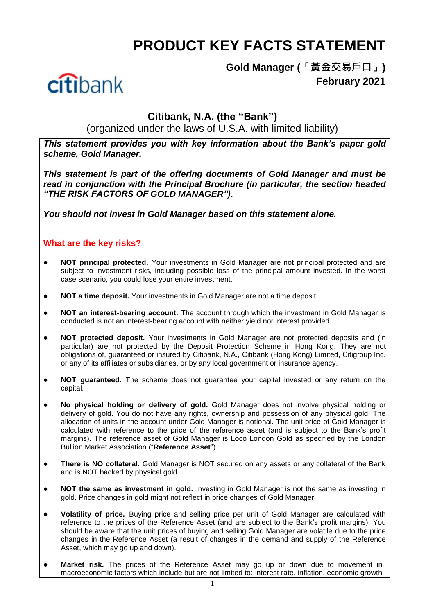# **PRODUCT KEY FACTS STATEMENT**



**Gold Manager (「黃金交易戶口」) February 2021**

# **Citibank, N.A. (the "Bank")**

(organized under the laws of U.S.A. with limited liability)

*This statement provides you with key information about the Bank's paper gold scheme, Gold Manager.*

*This statement is part of the offering documents of Gold Manager and must be read in conjunction with the Principal Brochure (in particular, the section headed "THE RISK FACTORS OF GOLD MANAGER").*

*You should not invest in Gold Manager based on this statement alone.*

## **What are the key risks?**

- **NOT principal protected.** Your investments in Gold Manager are not principal protected and are subject to investment risks, including possible loss of the principal amount invested. In the worst case scenario, you could lose your entire investment.
- **NOT a time deposit.** Your investments in Gold Manager are not a time deposit.
- **NOT an interest-bearing account.** The account through which the investment in Gold Manager is conducted is not an interest-bearing account with neither yield nor interest provided.
- **NOT protected deposit.** Your investments in Gold Manager are not protected deposits and (in particular) are not protected by the Deposit Protection Scheme in Hong Kong. They are not obligations of, guaranteed or insured by Citibank, N.A., Citibank (Hong Kong) Limited, Citigroup Inc. or any of its affiliates or subsidiaries, or by any local government or insurance agency.
- **NOT guaranteed.** The scheme does not guarantee your capital invested or any return on the capital.
- **No physical holding or delivery of gold.** Gold Manager does not involve physical holding or delivery of gold. You do not have any rights, ownership and possession of any physical gold. The allocation of units in the account under Gold Manager is notional. The unit price of Gold Manager is calculated with reference to the price of the reference asset (and is subject to the Bank's profit margins). The reference asset of Gold Manager is Loco London Gold as specified by the London Bullion Market Association ("**Reference Asset**").
- **There is NO collateral.** Gold Manager is NOT secured on any assets or any collateral of the Bank and is NOT backed by physical gold.
- **NOT the same as investment in gold.** Investing in Gold Manager is not the same as investing in gold. Price changes in gold might not reflect in price changes of Gold Manager.
- **Volatility of price.** Buying price and selling price per unit of Gold Manager are calculated with reference to the prices of the Reference Asset (and are subject to the Bank's profit margins). You should be aware that the unit prices of buying and selling Gold Manager are volatile due to the price changes in the Reference Asset (a result of changes in the demand and supply of the Reference Asset, which may go up and down).
- **Market risk.** The prices of the Reference Asset may go up or down due to movement in macroeconomic factors which include but are not limited to: interest rate, inflation, economic growth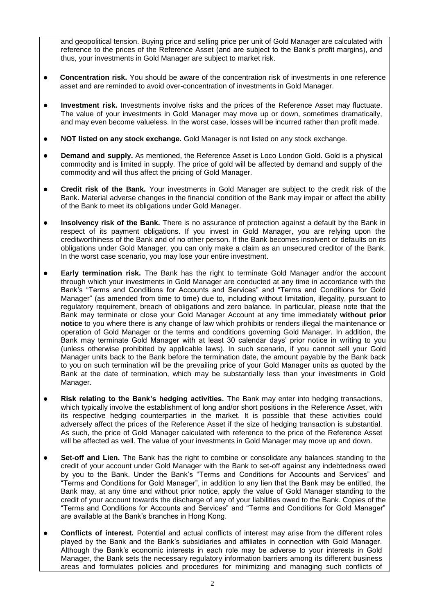and geopolitical tension. Buying price and selling price per unit of Gold Manager are calculated with reference to the prices of the Reference Asset (and are subject to the Bank's profit margins), and thus, your investments in Gold Manager are subject to market risk.

- **Concentration risk.** You should be aware of the concentration risk of investments in one reference asset and are reminded to avoid over-concentration of investments in Gold Manager.
- **Investment risk.** Investments involve risks and the prices of the Reference Asset may fluctuate. The value of your investments in Gold Manager may move up or down, sometimes dramatically, and may even become valueless. In the worst case, losses will be incurred rather than profit made.
- **NOT listed on any stock exchange.** Gold Manager is not listed on any stock exchange.
- **Demand and supply.** As mentioned, the Reference Asset is Loco London Gold. Gold is a physical commodity and is limited in supply. The price of gold will be affected by demand and supply of the commodity and will thus affect the pricing of Gold Manager.
- **Credit risk of the Bank.** Your investments in Gold Manager are subject to the credit risk of the Bank. Material adverse changes in the financial condition of the Bank may impair or affect the ability of the Bank to meet its obligations under Gold Manager.
- **Insolvency risk of the Bank.** There is no assurance of protection against a default by the Bank in respect of its payment obligations. If you invest in Gold Manager, you are relying upon the creditworthiness of the Bank and of no other person. If the Bank becomes insolvent or defaults on its obligations under Gold Manager, you can only make a claim as an unsecured creditor of the Bank. In the worst case scenario, you may lose your entire investment.
- **Early termination risk.** The Bank has the right to terminate Gold Manager and/or the account through which your investments in Gold Manager are conducted at any time in accordance with the Bank's "Terms and Conditions for Accounts and Services" and "Terms and Conditions for Gold Manager" (as amended from time to time) due to, including without limitation, illegality, pursuant to regulatory requirement, breach of obligations and zero balance. In particular, please note that the Bank may terminate or close your Gold Manager Account at any time immediately **without prior notice** to you where there is any change of law which prohibits or renders illegal the maintenance or operation of Gold Manager or the terms and conditions governing Gold Manager. In addition, the Bank may terminate Gold Manager with at least 30 calendar days' prior notice in writing to you (unless otherwise prohibited by applicable laws). In such scenario, if you cannot sell your Gold Manager units back to the Bank before the termination date, the amount payable by the Bank back to you on such termination will be the prevailing price of your Gold Manager units as quoted by the Bank at the date of termination, which may be substantially less than your investments in Gold Manager.
- **Risk relating to the Bank's hedging activities.** The Bank may enter into hedging transactions, which typically involve the establishment of long and/or short positions in the Reference Asset, with its respective hedging counterparties in the market. It is possible that these activities could adversely affect the prices of the Reference Asset if the size of hedging transaction is substantial. As such, the price of Gold Manager calculated with reference to the price of the Reference Asset will be affected as well. The value of your investments in Gold Manager may move up and down.
- **Set-off and Lien.** The Bank has the right to combine or consolidate any balances standing to the credit of your account under Gold Manager with the Bank to set-off against any indebtedness owed by you to the Bank. Under the Bank's "Terms and Conditions for Accounts and Services" and "Terms and Conditions for Gold Manager", in addition to any lien that the Bank may be entitled, the Bank may, at any time and without prior notice, apply the value of Gold Manager standing to the credit of your account towards the discharge of any of your liabilities owed to the Bank. Copies of the "Terms and Conditions for Accounts and Services" and "Terms and Conditions for Gold Manager" are available at the Bank's branches in Hong Kong.
- **Conflicts of interest.** Potential and actual conflicts of interest may arise from the different roles played by the Bank and the Bank's subsidiaries and affiliates in connection with Gold Manager. Although the Bank's economic interests in each role may be adverse to your interests in Gold Manager, the Bank sets the necessary regulatory information barriers among its different business areas and formulates policies and procedures for minimizing and managing such conflicts of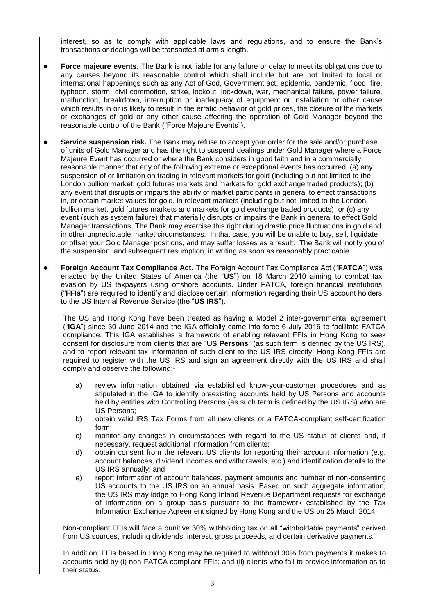interest, so as to comply with applicable laws and regulations, and to ensure the Bank's transactions or dealings will be transacted at arm's length.

- **Force majeure events.** The Bank is not liable for any failure or delay to meet its obligations due to any causes beyond its reasonable control which shall include but are not limited to local or international happenings such as any Act of God, Government act, epidemic, pandemic, flood, fire, typhoon, storm, civil commotion, strike, lockout, lockdown, war, mechanical failure, power failure, malfunction, breakdown, interruption or inadequacy of equipment or installation or other cause which results in or is likely to result in the erratic behavior of gold prices, the closure of the markets or exchanges of gold or any other cause affecting the operation of Gold Manager beyond the reasonable control of the Bank ("Force Majeure Events").
- **Service suspension risk.** The Bank may refuse to accept your order for the sale and/or purchase of units of Gold Manager and has the right to suspend dealings under Gold Manager where a Force Majeure Event has occurred or where the Bank considers in good faith and in a commercially reasonable manner that any of the following extreme or exceptional events has occurred: (a) any suspension of or limitation on trading in relevant markets for gold (including but not limited to the London bullion market, gold futures markets and markets for gold exchange traded products); (b) any event that disrupts or impairs the ability of market participants in general to effect transactions in, or obtain market values for gold, in relevant markets (including but not limited to the London bullion market, gold futures markets and markets for gold exchange traded products); or (c) any event (such as system failure) that materially disrupts or impairs the Bank in general to effect Gold Manager transactions. The Bank may exercise this right during drastic price fluctuations in gold and in other unpredictable market circumstances. In that case, you will be unable to buy, sell, liquidate or offset your Gold Manager positions, and may suffer losses as a result. The Bank will notify you of the suspension, and subsequent resumption, in writing as soon as reasonably practicable.
- **Foreign Account Tax Compliance Act.** The Foreign Account Tax Compliance Act ("**FATCA**") was enacted by the United States of America (the "**US**") on 18 March 2010 aiming to combat tax evasion by US taxpayers using offshore accounts. Under FATCA, foreign financial institutions ("**FFIs**") are required to identify and disclose certain information regarding their US account holders to the US Internal Revenue Service (the "**US IRS**").

The US and Hong Kong have been treated as having a Model 2 inter-governmental agreement ("**IGA**") since 30 June 2014 and the IGA officially came into force 6 July 2016 to facilitate FATCA compliance. This IGA establishes a framework of enabling relevant FFIs in Hong Kong to seek consent for disclosure from clients that are "**US Persons**" (as such term is defined by the US IRS), and to report relevant tax information of such client to the US IRS directly. Hong Kong FFIs are required to register with the US IRS and sign an agreement directly with the US IRS and shall comply and observe the following:-

- a) review information obtained via established know-your-customer procedures and as stipulated in the IGA to identify preexisting accounts held by US Persons and accounts held by entities with Controlling Persons (as such term is defined by the US IRS) who are US Persons;
- b) obtain valid IRS Tax Forms from all new clients or a FATCA-compliant self-certification form;
- c) monitor any changes in circumstances with regard to the US status of clients and, if necessary, request additional information from clients;
- d) obtain consent from the relevant US clients for reporting their account information (e.g. account balances, dividend incomes and withdrawals, etc.) and identification details to the US IRS annually; and
- e) report information of account balances, payment amounts and number of non-consenting US accounts to the US IRS on an annual basis. Based on such aggregate information, the US IRS may lodge to Hong Kong Inland Revenue Department requests for exchange of information on a group basis pursuant to the framework established by the Tax Information Exchange Agreement signed by Hong Kong and the US on 25 March 2014.

Non-compliant FFIs will face a punitive 30% withholding tax on all "withholdable payments" derived from US sources, including dividends, interest, gross proceeds, and certain derivative payments.

In addition, FFIs based in Hong Kong may be required to withhold 30% from payments it makes to accounts held by (i) non-FATCA compliant FFIs; and (ii) clients who fail to provide information as to their status.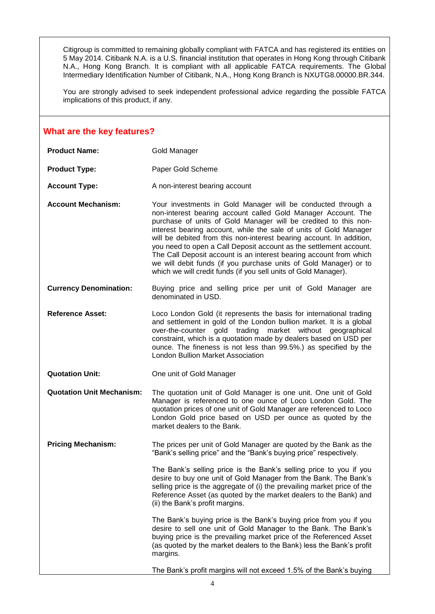Citigroup is committed to remaining globally compliant with FATCA and has registered its entities on 5 May 2014. Citibank N.A. is a U.S. financial institution that operates in Hong Kong through Citibank N.A., Hong Kong Branch. It is compliant with all applicable FATCA requirements. The Global Intermediary Identification Number of Citibank, N.A., Hong Kong Branch is NXUTG8.00000.BR.344.

You are strongly advised to seek independent professional advice regarding the possible FATCA implications of this product, if any.

#### **What are the key features?**

| <b>Product Name:</b>             | Gold Manager                                                                                                                                                                                                                                                                                                                                                                                                                                                                                                                                                                                                                      |
|----------------------------------|-----------------------------------------------------------------------------------------------------------------------------------------------------------------------------------------------------------------------------------------------------------------------------------------------------------------------------------------------------------------------------------------------------------------------------------------------------------------------------------------------------------------------------------------------------------------------------------------------------------------------------------|
| <b>Product Type:</b>             | Paper Gold Scheme                                                                                                                                                                                                                                                                                                                                                                                                                                                                                                                                                                                                                 |
| <b>Account Type:</b>             | A non-interest bearing account                                                                                                                                                                                                                                                                                                                                                                                                                                                                                                                                                                                                    |
| <b>Account Mechanism:</b>        | Your investments in Gold Manager will be conducted through a<br>non-interest bearing account called Gold Manager Account. The<br>purchase of units of Gold Manager will be credited to this non-<br>interest bearing account, while the sale of units of Gold Manager<br>will be debited from this non-interest bearing account. In addition,<br>you need to open a Call Deposit account as the settlement account.<br>The Call Deposit account is an interest bearing account from which<br>we will debit funds (if you purchase units of Gold Manager) or to<br>which we will credit funds (if you sell units of Gold Manager). |
| <b>Currency Denomination:</b>    | Buying price and selling price per unit of Gold Manager are<br>denominated in USD.                                                                                                                                                                                                                                                                                                                                                                                                                                                                                                                                                |
| <b>Reference Asset:</b>          | Loco London Gold (it represents the basis for international trading<br>and settlement in gold of the London bullion market. It is a global<br>over-the-counter gold trading market without geographical<br>constraint, which is a quotation made by dealers based on USD per<br>ounce. The fineness is not less than 99.5%.) as specified by the<br><b>London Bullion Market Association</b>                                                                                                                                                                                                                                      |
| <b>Quotation Unit:</b>           | One unit of Gold Manager                                                                                                                                                                                                                                                                                                                                                                                                                                                                                                                                                                                                          |
| <b>Quotation Unit Mechanism:</b> | The quotation unit of Gold Manager is one unit. One unit of Gold<br>Manager is referenced to one ounce of Loco London Gold. The<br>quotation prices of one unit of Gold Manager are referenced to Loco<br>London Gold price based on USD per ounce as quoted by the<br>market dealers to the Bank.                                                                                                                                                                                                                                                                                                                                |
| <b>Pricing Mechanism:</b>        | The prices per unit of Gold Manager are quoted by the Bank as the<br>"Bank's selling price" and the "Bank's buying price" respectively.                                                                                                                                                                                                                                                                                                                                                                                                                                                                                           |
|                                  | The Bank's selling price is the Bank's selling price to you if you<br>desire to buy one unit of Gold Manager from the Bank. The Bank's<br>selling price is the aggregate of (i) the prevailing market price of the<br>Reference Asset (as quoted by the market dealers to the Bank) and<br>(ii) the Bank's profit margins.                                                                                                                                                                                                                                                                                                        |
|                                  | The Bank's buying price is the Bank's buying price from you if you<br>desire to sell one unit of Gold Manager to the Bank. The Bank's<br>buying price is the prevailing market price of the Referenced Asset<br>(as quoted by the market dealers to the Bank) less the Bank's profit<br>margins.                                                                                                                                                                                                                                                                                                                                  |
|                                  | The Bank's profit margins will not exceed 1.5% of the Bank's buying                                                                                                                                                                                                                                                                                                                                                                                                                                                                                                                                                               |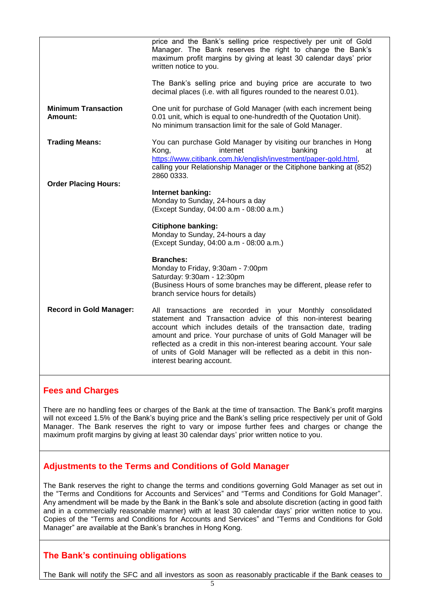| price and the Bank's selling price respectively per unit of Gold<br>Manager. The Bank reserves the right to change the Bank's<br>maximum profit margins by giving at least 30 calendar days' prior<br>written notice to you.                                                                                                                                                                                                                   |
|------------------------------------------------------------------------------------------------------------------------------------------------------------------------------------------------------------------------------------------------------------------------------------------------------------------------------------------------------------------------------------------------------------------------------------------------|
| The Bank's selling price and buying price are accurate to two<br>decimal places (i.e. with all figures rounded to the nearest 0.01).                                                                                                                                                                                                                                                                                                           |
| One unit for purchase of Gold Manager (with each increment being<br>0.01 unit, which is equal to one-hundredth of the Quotation Unit).<br>No minimum transaction limit for the sale of Gold Manager.                                                                                                                                                                                                                                           |
| You can purchase Gold Manager by visiting our branches in Hong<br>Kong,<br>internet<br>banking<br>at<br>https://www.citibank.com.hk/english/investment/paper-gold.html,<br>calling your Relationship Manager or the Citiphone banking at (852)<br>2860 0333.                                                                                                                                                                                   |
| Internet banking:<br>Monday to Sunday, 24-hours a day<br>(Except Sunday, 04:00 a.m - 08:00 a.m.)                                                                                                                                                                                                                                                                                                                                               |
| <b>Citiphone banking:</b><br>Monday to Sunday, 24-hours a day<br>(Except Sunday, 04:00 a.m - 08:00 a.m.)                                                                                                                                                                                                                                                                                                                                       |
| <b>Branches:</b><br>Monday to Friday, 9:30am - 7:00pm<br>Saturday: 9:30am - 12:30pm<br>(Business Hours of some branches may be different, please refer to<br>branch service hours for details)                                                                                                                                                                                                                                                 |
| All transactions are recorded in your Monthly consolidated<br>statement and Transaction advice of this non-interest bearing<br>account which includes details of the transaction date, trading<br>amount and price. Your purchase of units of Gold Manager will be<br>reflected as a credit in this non-interest bearing account. Your sale<br>of units of Gold Manager will be reflected as a debit in this non-<br>interest bearing account. |
|                                                                                                                                                                                                                                                                                                                                                                                                                                                |

### **Fees and Charges**

There are no handling fees or charges of the Bank at the time of transaction. The Bank's profit margins will not exceed 1.5% of the Bank's buying price and the Bank's selling price respectively per unit of Gold Manager. The Bank reserves the right to vary or impose further fees and charges or change the maximum profit margins by giving at least 30 calendar days' prior written notice to you.

## **Adjustments to the Terms and Conditions of Gold Manager**

The Bank reserves the right to change the terms and conditions governing Gold Manager as set out in the "Terms and Conditions for Accounts and Services" and "Terms and Conditions for Gold Manager". Any amendment will be made by the Bank in the Bank's sole and absolute discretion (acting in good faith and in a commercially reasonable manner) with at least 30 calendar days' prior written notice to you. Copies of the "Terms and Conditions for Accounts and Services" and "Terms and Conditions for Gold Manager" are available at the Bank's branches in Hong Kong.

## **The Bank's continuing obligations**

The Bank will notify the SFC and all investors as soon as reasonably practicable if the Bank ceases to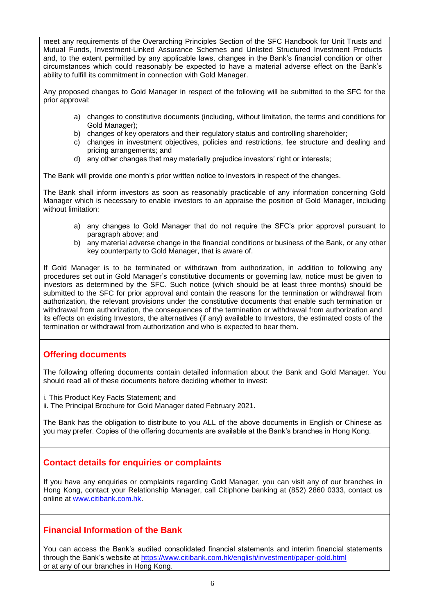meet any requirements of the Overarching Principles Section of the SFC Handbook for Unit Trusts and Mutual Funds, Investment-Linked Assurance Schemes and Unlisted Structured Investment Products and, to the extent permitted by any applicable laws, changes in the Bank's financial condition or other circumstances which could reasonably be expected to have a material adverse effect on the Bank's ability to fulfill its commitment in connection with Gold Manager.

Any proposed changes to Gold Manager in respect of the following will be submitted to the SFC for the prior approval:

- a) changes to constitutive documents (including, without limitation, the terms and conditions for Gold Manager);
- b) changes of key operators and their regulatory status and controlling shareholder;
- c) changes in investment objectives, policies and restrictions, fee structure and dealing and pricing arrangements; and
- d) any other changes that may materially prejudice investors' right or interests;

The Bank will provide one month's prior written notice to investors in respect of the changes.

The Bank shall inform investors as soon as reasonably practicable of any information concerning Gold Manager which is necessary to enable investors to an appraise the position of Gold Manager, including without limitation:

- a) any changes to Gold Manager that do not require the SFC's prior approval pursuant to paragraph above; and
- b) any material adverse change in the financial conditions or business of the Bank, or any other key counterparty to Gold Manager, that is aware of.

If Gold Manager is to be terminated or withdrawn from authorization, in addition to following any procedures set out in Gold Manager's constitutive documents or governing law, notice must be given to investors as determined by the SFC. Such notice (which should be at least three months) should be submitted to the SFC for prior approval and contain the reasons for the termination or withdrawal from authorization, the relevant provisions under the constitutive documents that enable such termination or withdrawal from authorization, the consequences of the termination or withdrawal from authorization and its effects on existing Investors, the alternatives (if any) available to Investors, the estimated costs of the termination or withdrawal from authorization and who is expected to bear them.

### **Offering documents**

The following offering documents contain detailed information about the Bank and Gold Manager. You should read all of these documents before deciding whether to invest:

i. This Product Key Facts Statement; and

ii. The Principal Brochure for Gold Manager dated February 2021.

The Bank has the obligation to distribute to you ALL of the above documents in English or Chinese as you may prefer. Copies of the offering documents are available at the Bank's branches in Hong Kong.

### **Contact details for enquiries or complaints**

If you have any enquiries or complaints regarding Gold Manager, you can visit any of our branches in Hong Kong, contact your Relationship Manager, call Citiphone banking at (852) 2860 0333, contact us online at [www.citibank.com.hk.](http://www.citibank.com.hk/)

## **Financial Information of the Bank**

You can access the Bank's audited consolidated financial statements and interim financial statements through the Bank's website at<https://www.citibank.com.hk/english/investment/paper-gold.html> or at any of our branches in Hong Kong.